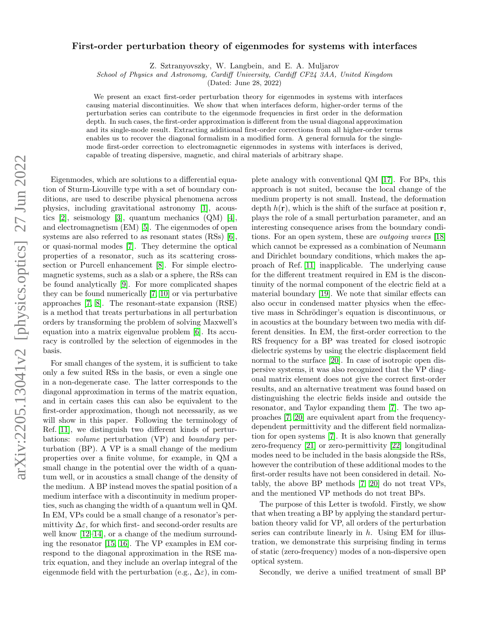## arXiv:2205.13041v2 [physics.optics] 27 Jun 2022 arXiv:2205.13041v2 [physics.optics] 27 Jun 2022

## First-order perturbation theory of eigenmodes for systems with interfaces

Z. Sztranyovszky, W. Langbein, and E. A. Muljarov

School of Physics and Astronomy, Cardiff University, Cardiff CF24 3AA, United Kingdom

(Dated: June 28, 2022)

We present an exact first-order perturbation theory for eigenmodes in systems with interfaces causing material discontinuities. We show that when interfaces deform, higher-order terms of the perturbation series can contribute to the eigenmode frequencies in first order in the deformation depth. In such cases, the first-order approximation is different from the usual diagonal approximation and its single-mode result. Extracting additional first-order corrections from all higher-order terms enables us to recover the diagonal formalism in a modified form. A general formula for the singlemode first-order correction to electromagnetic eigenmodes in systems with interfaces is derived, capable of treating dispersive, magnetic, and chiral materials of arbitrary shape.

Eigenmodes, which are solutions to a differential equation of Sturm-Liouville type with a set of boundary conditions, are used to describe physical phenomena across physics, including gravitational astronomy [\[1\]](#page-4-0), acoustics [\[2\]](#page-4-1), seismology [\[3\]](#page-4-2), quantum mechanics (QM) [\[4\]](#page-4-3), and electromagnetism (EM) [\[5\]](#page-4-4). The eigenmodes of open systems are also referred to as resonant states (RSs) [\[6\]](#page-4-5), or quasi-normal modes [\[7\]](#page-4-6). They determine the optical properties of a resonator, such as its scattering crosssection or Purcell enhancement [\[8\]](#page-4-7). For simple electromagnetic systems, such as a slab or a sphere, the RSs can be found analytically [\[9\]](#page-4-8). For more complicated shapes they can be found numerically [\[7,](#page-4-6) [10\]](#page-4-9) or via perturbative approaches [\[7,](#page-4-6) [8\]](#page-4-7). The resonant-state expansion (RSE) is a method that treats perturbations in all perturbation orders by transforming the problem of solving Maxwell's equation into a matrix eigenvalue problem [\[6\]](#page-4-5). Its accuracy is controlled by the selection of eigenmodes in the basis.

For small changes of the system, it is sufficient to take only a few suited RSs in the basis, or even a single one in a non-degenerate case. The latter corresponds to the diagonal approximation in terms of the matrix equation, and in certain cases this can also be equivalent to the first-order approximation, though not necessarily, as we will show in this paper. Following the terminology of Ref. [\[11\]](#page-4-10), we distinguish two different kinds of perturbations: volume perturbation (VP) and boundary perturbation (BP). A VP is a small change of the medium properties over a finite volume, for example, in QM a small change in the potential over the width of a quantum well, or in acoustics a small change of the density of the medium. A BP instead moves the spatial position of a medium interface with a discontinuity in medium properties, such as changing the width of a quantum well in QM. In EM, VPs could be a small change of a resonator's permittivity  $\Delta \varepsilon$ , for which first- and second-order results are well know [\[12–](#page-4-11)[14\]](#page-4-12), or a change of the medium surrounding the resonator [\[15,](#page-4-13) [16\]](#page-4-14). The VP examples in EM correspond to the diagonal approximation in the RSE matrix equation, and they include an overlap integral of the eigenmode field with the perturbation (e.g.,  $\Delta \varepsilon$ ), in com-

plete analogy with conventional QM [\[17\]](#page-4-15). For BPs, this approach is not suited, because the local change of the medium property is not small. Instead, the deformation depth  $h(\mathbf{r})$ , which is the shift of the surface at position  $\mathbf{r}$ , plays the role of a small perturbation parameter, and an interesting consequence arises from the boundary conditions. For an open system, these are *outgoing waves* [\[18\]](#page-4-16) which cannot be expressed as a combination of Neumann and Dirichlet boundary conditions, which makes the approach of Ref. [\[11\]](#page-4-10) inapplicable. The underlying cause for the different treatment required in EM is the discontinuity of the normal component of the electric field at a material boundary [\[19\]](#page-4-17). We note that similar effects can also occur in condensed matter physics when the effective mass in Schrödinger's equation is discontinuous, or in acoustics at the boundary between two media with different densities. In EM, the first-order correction to the RS frequency for a BP was treated for closed isotropic dielectric systems by using the electric displacement field normal to the surface [\[20\]](#page-4-18). In case of isotropic open dispersive systems, it was also recognized that the VP diagonal matrix element does not give the correct first-order results, and an alternative treatment was found based on distinguishing the electric fields inside and outside the resonator, and Taylor expanding them [\[7\]](#page-4-6). The two approaches [\[7,](#page-4-6) [20\]](#page-4-18) are equivalent apart from the frequencydependent permittivity and the different field normalization for open systems [\[7\]](#page-4-6). It is also known that generally zero-frequency [\[21\]](#page-4-19) or zero-permittivity [\[22\]](#page-4-20) longitudinal modes need to be included in the basis alongside the RSs, however the contribution of these additional modes to the first-order results have not been considered in detail. Notably, the above BP methods [\[7,](#page-4-6) [20\]](#page-4-18) do not treat VPs, and the mentioned VP methods do not treat BPs.

The purpose of this Letter is twofold. Firstly, we show that when treating a BP by applying the standard perturbation theory valid for VP, all orders of the perturbation series can contribute linearly in  $h$ . Using EM for illustration, we demonstrate this surprising finding in terms of static (zero-frequency) modes of a non-dispersive open optical system.

Secondly, we derive a unified treatment of small BP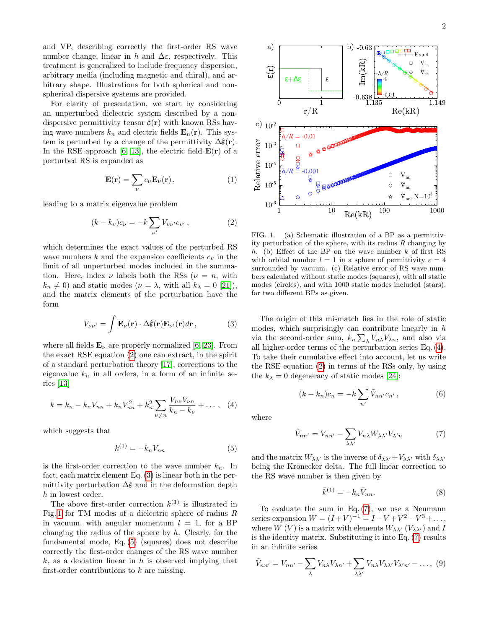and VP, describing correctly the first-order RS wave number change, linear in h and  $\Delta \varepsilon$ , respectively. This treatment is generalized to include frequency dispersion, arbitrary media (including magnetic and chiral), and arbitrary shape. Illustrations for both spherical and nonspherical dispersive systems are provided.

For clarity of presentation, we start by considering an unperturbed dielectric system described by a nondispersive permittivity tensor  $\hat{\epsilon}(\mathbf{r})$  with known RSs having wave numbers  $k_n$  and electric fields  $\mathbf{E}_n(\mathbf{r})$ . This system is perturbed by a change of the permittivity  $\Delta\hat{\boldsymbol{\varepsilon}}(\mathbf{r})$ . In the RSE approach [\[6,](#page-4-5) [13\]](#page-4-21), the electric field  $\mathbf{E}(\mathbf{r})$  of a perturbed RS is expanded as

<span id="page-1-8"></span>
$$
\mathbf{E}(\mathbf{r}) = \sum_{\nu} c_{\nu} \mathbf{E}_{\nu}(\mathbf{r}), \qquad (1)
$$

leading to a matrix eigenvalue problem

<span id="page-1-0"></span>
$$
(k - k_{\nu})c_{\nu} = -k \sum_{\nu'} V_{\nu \nu'} c_{\nu'}, \qquad (2)
$$

which determines the exact values of the perturbed RS wave numbers k and the expansion coefficients  $c_{\nu}$  in the limit of all unperturbed modes included in the summation. Here, index  $\nu$  labels both the RSs ( $\nu = n$ , with  $k_n \neq 0$ ) and static modes ( $\nu = \lambda$ , with all  $k_\lambda = 0$  [\[21\]](#page-4-19)), and the matrix elements of the perturbation have the form

<span id="page-1-1"></span>
$$
V_{\nu\nu'} = \int \mathbf{E}_{\nu}(\mathbf{r}) \cdot \Delta \hat{\boldsymbol{\varepsilon}}(\mathbf{r}) \mathbf{E}_{\nu'}(\mathbf{r}) d\mathbf{r}, \qquad (3)
$$

where all fields  $\mathbf{E}_{\nu}$  are properly normalized [\[6,](#page-4-5) [23\]](#page-4-22). From the exact RSE equation [\(2\)](#page-1-0) one can extract, in the spirit of a standard perturbation theory [\[17\]](#page-4-15), corrections to the eigenvalue  $k_n$  in all orders, in a form of an infinite series [\[13\]](#page-4-21)

<span id="page-1-4"></span>
$$
k = k_n - k_n V_{nn} + k_n V_{nn}^2 + k_n^2 \sum_{\nu \neq n} \frac{V_{n\nu} V_{\nu n}}{k_n - k_\nu} + \dots , \quad (4)
$$

which suggests that

<span id="page-1-3"></span>
$$
k^{(1)} = -k_n V_{nn} \tag{5}
$$

is the first-order correction to the wave number  $k_n$ . In fact, each matrix element Eq. [\(3\)](#page-1-1) is linear both in the permittivity perturbation  $\Delta \hat{\epsilon}$  and in the deformation depth h in lowest order.

The above first-order correction  $k^{(1)}$  is illustrated in Fig. [1](#page-1-2) for TM modes of a dielectric sphere of radius  $R$ in vacuum, with angular momentum  $l = 1$ , for a BP changing the radius of the sphere by  $h$ . Clearly, for the fundamental mode, Eq. [\(5\)](#page-1-3) (squares) does not describe correctly the first-order changes of the RS wave number  $k$ , as a deviation linear in h is observed implying that first-order contributions to  $k$  are missing.



<span id="page-1-2"></span>FIG. 1. (a) Schematic illustration of a BP as a permittivity perturbation of the sphere, with its radius  $R$  changing by h. (b) Effect of the BP on the wave number  $k$  of first RS with orbital number  $l = 1$  in a sphere of permittivity  $\varepsilon = 4$ surrounded by vacuum. (c) Relative error of RS wave numbers calculated without static modes (squares), with all static modes (circles), and with 1000 static modes included (stars), for two different BPs as given.

The origin of this mismatch lies in the role of static modes, which surprisingly can contribute linearly in  $h$ via the second-order sum,  $k_n \sum_{\lambda} V_{n\lambda} V_{\lambda n}$ , and also via all higher-order terms of the perturbation series Eq. [\(4\)](#page-1-4). To take their cumulative effect into account, let us write the RSE equation [\(2\)](#page-1-0) in terms of the RSs only, by using the  $k_{\lambda} = 0$  degeneracy of static modes [\[24\]](#page-4-23):

<span id="page-1-7"></span>
$$
(k - k_n)c_n = -k \sum_{n'} \tilde{V}_{nn'}c_{n'}, \qquad (6)
$$

where

<span id="page-1-5"></span>
$$
\tilde{V}_{nn'} = V_{nn'} - \sum_{\lambda\lambda'} V_{n\lambda} W_{\lambda\lambda'} V_{\lambda'n}
$$
 (7)

and the matrix  $W_{\lambda\lambda'}$  is the inverse of  $\delta_{\lambda\lambda'}+V_{\lambda\lambda'}$  with  $\delta_{\lambda\lambda'}$ being the Kronecker delta. The full linear correction to the RS wave number is then given by

$$
\tilde{k}^{(1)} = -k_n \tilde{V}_{nn}.
$$
\n(8)

To evaluate the sum in Eq. [\(7\)](#page-1-5), we use a Neumann series expansion  $W = (I + V)^{-1} = I - V + V^2 - V^3 + ...,$ where  $W(V)$  is a matrix with elements  $W_{\lambda\lambda'}(V_{\lambda\lambda'})$  and I is the identity matrix. Substituting it into Eq. [\(7\)](#page-1-5) results in an infinite series

<span id="page-1-6"></span>
$$
\tilde{V}_{nn'} = V_{nn'} - \sum_{\lambda} V_{n\lambda} V_{\lambda n'} + \sum_{\lambda \lambda'} V_{n\lambda} V_{\lambda \lambda'} V_{\lambda' n'} - \dots, (9)
$$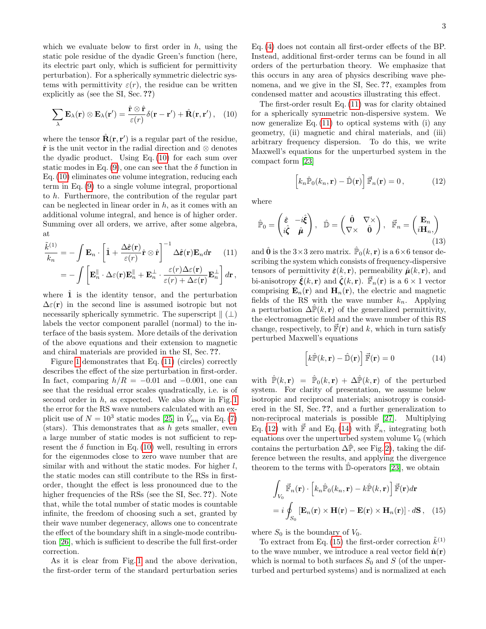which we evaluate below to first order in  $h$ , using the static pole residue of the dyadic Green's function (here, its electric part only, which is sufficient for permittivity perturbation). For a spherically symmetric dielectric systems with permittivity  $\varepsilon(r)$ , the residue can be written explicitly as (see the SI, Sec. ??)

<span id="page-2-0"></span>
$$
\sum_{\lambda} \mathbf{E}_{\lambda}(\mathbf{r}) \otimes \mathbf{E}_{\lambda}(\mathbf{r}') = \frac{\hat{\mathbf{r}} \otimes \hat{\mathbf{r}}}{\varepsilon(r)} \delta(\mathbf{r} - \mathbf{r}') + \hat{\mathbf{R}}(\mathbf{r}, \mathbf{r}'), \quad (10)
$$

where the tensor  $\hat{\mathbf{R}}(\mathbf{r}, \mathbf{r}')$  is a regular part of the residue,  $\hat{\mathbf{r}}$  is the unit vector in the radial direction and ⊗ denotes the dyadic product. Using Eq. [\(10\)](#page-2-0) for each sum over static modes in Eq. [\(9\)](#page-1-6), one can see that the  $\delta$  function in Eq. [\(10\)](#page-2-0) eliminates one volume integration, reducing each term in Eq. [\(9\)](#page-1-6) to a single volume integral, proportional to h. Furthermore, the contribution of the regular part can be neglected in linear order in  $h$ , as it comes with an additional volume integral, and hence is of higher order. Summing over all orders, we arrive, after some algebra, at

<span id="page-2-1"></span>
$$
\frac{\tilde{k}^{(1)}}{k_n} = -\int \mathbf{E}_n \cdot \left[ \hat{\mathbf{1}} + \frac{\Delta \hat{\boldsymbol{\varepsilon}}(\mathbf{r})}{\varepsilon(r)} \hat{\mathbf{r}} \otimes \hat{\mathbf{r}} \right]^{-1} \Delta \hat{\boldsymbol{\varepsilon}}(\mathbf{r}) \mathbf{E}_n d\mathbf{r} \qquad (11)
$$
\n
$$
= -\int \left[ \mathbf{E}_n^{\parallel} \cdot \Delta \varepsilon(\mathbf{r}) \mathbf{E}_n^{\parallel} + \mathbf{E}_n^{\perp} \cdot \frac{\varepsilon(r) \Delta \varepsilon(\mathbf{r})}{\varepsilon(r) + \Delta \varepsilon(\mathbf{r})} \mathbf{E}_n^{\perp} \right] d\mathbf{r},
$$

where  $\hat{1}$  is the identity tensor, and the perturbation  $\Delta \varepsilon(\mathbf{r})$  in the second line is assumed isotropic but not necessarily spherically symmetric. The superscript  $\|$  ( $\bot$ ) labels the vector component parallel (normal) to the interface of the basis system. More details of the derivation of the above equations and their extension to magnetic and chiral materials are provided in the SI, Sec. ??.

Figure [1](#page-1-2) demonstrates that Eq. [\(11\)](#page-2-1) (circles) correctly describes the effect of the size perturbation in first-order. In fact, comparing  $h/R = -0.01$  and  $-0.001$ , one can see that the residual error scales quadratically, i.e. is of second order in  $h$ , as expected. We also show in Fig. [1](#page-1-2) the error for the RS wave numbers calculated with an explicit use of  $N = 10^3$  static modes [\[25\]](#page-4-24) in  $\tilde{V}_{nn}$  via Eq. [\(7\)](#page-1-5) (stars). This demonstrates that as  $h$  gets smaller, even a large number of static modes is not sufficient to represent the  $\delta$  function in Eq. [\(10\)](#page-2-0) well, resulting in errors for the eigenmodes close to zero wave number that are similar with and without the static modes. For higher  $l$ , the static modes can still contribute to the RSs in firstorder, thought the effect is less pronounced due to the higher frequencies of the RSs (see the SI, Sec. ??). Note that, while the total number of static modes is countable infinite, the freedom of choosing such a set, granted by their wave number degeneracy, allows one to concentrate the effect of the boundary shift in a single-mode contribution [\[26\]](#page-4-25), which is sufficient to describe the full first-order correction.

As it is clear from Fig. [1](#page-1-2) and the above derivation, the first-order term of the standard perturbation series Eq. [\(4\)](#page-1-4) does not contain all first-order effects of the BP. Instead, additional first-order terms can be found in all orders of the perturbation theory. We emphasize that this occurs in any area of physics describing wave phenomena, and we give in the SI, Sec. ??, examples from condensed matter and acoustics illustrating this effect.

The first-order result Eq. [\(11\)](#page-2-1) was for clarity obtained for a spherically symmetric non-dispersive system. We now generalize Eq. [\(11\)](#page-2-1) to optical systems with (i) any geometry, (ii) magnetic and chiral materials, and (iii) arbitrary frequency dispersion. To do this, we write Maxwell's equations for the unperturbed system in the compact form [\[23\]](#page-4-22)

<span id="page-2-2"></span> $\left[k_n\hat{P}_0(k_n,\mathbf{r}) - \hat{D}(\mathbf{r})\right]\vec{F}_n(\mathbf{r}) = 0,$  (12)

where

 $\mathbb{\hat{P}}_0 =$  $\int \hat{\epsilon} - i \hat{\xi}$  $i\hat{\zeta}$   $\hat{\mu}$ ),  $\hat{\mathbb{D}} = \begin{pmatrix} \hat{\mathbf{0}} & \nabla \times \\ \nabla \cdot \cdot & \hat{\mathbf{0}} \end{pmatrix}$  $\nabla\times\hat{0}$  $\Big), \ \ \vec{\mathbb{F}}_n = \begin{pmatrix} \mathbf{E}_n \ \mathbf{H} \end{pmatrix}$  $i\mathbf{H}_n,$  $\setminus$ (13)

and  $\hat{\mathbf{0}}$  is the 3×3 zero matrix.  $\mathbb{P}_0(k, \mathbf{r})$  is a  $6 \times 6$  tensor describing the system which consists of frequency-dispersive tensors of permittivity  $\hat{\boldsymbol{\varepsilon}}(k, \mathbf{r})$ , permeability  $\hat{\boldsymbol{\mu}}(k, \mathbf{r})$ , and bi-anisotropy  $\hat{\boldsymbol{\xi}}(k, \mathbf{r})$  and  $\hat{\boldsymbol{\zeta}}(k, \mathbf{r})$ .  $\vec{\mathbb{F}}_n(\mathbf{r})$  is a  $6 \times 1$  vector comprising  $\mathbf{E}_n(\mathbf{r})$  and  $\mathbf{H}_n(\mathbf{r})$ , the electric and magnetic fields of the RS with the wave number  $k_n$ . Applying a perturbation  $\Delta \hat{P}(k, r)$  of the generalized permittivity, the electromagnetic field and the wave number of this RS change, respectively, to  $\vec{F}(\mathbf{r})$  and k, which in turn satisfy perturbed Maxwell's equations

<span id="page-2-3"></span>
$$
\left[k\widehat{\mathbb{P}}(k,\mathbf{r}) - \widehat{\mathbb{D}}(\mathbf{r})\right]\vec{\mathbb{F}}(\mathbf{r}) = 0 \tag{14}
$$

with  $\hat{\mathbb{P}}(k,\mathbf{r}) = \hat{\mathbb{P}}_0(k,\mathbf{r}) + \Delta \hat{\mathbb{P}}(k,\mathbf{r})$  of the perturbed system. For clarity of presentation, we assume below isotropic and reciprocal materials; anisotropy is considered in the SI, Sec. ??, and a further generalization to non-reciprocal materials is possible [\[27\]](#page-4-26). Multiplying Eq. [\(12\)](#page-2-2) with  $\vec{F}$  and Eq. [\(14\)](#page-2-3) with  $\vec{F}_n$ , integrating both equations over the unperturbed system volume  $V_0$  (which contains the perturbation  $\Delta \hat{P}$ , see Fig. [2\)](#page-3-0), taking the difference between the results, and applying the divergence theorem to the terms with  $\hat{\mathbb{D}}$ -operators [\[23\]](#page-4-22), we obtain

<span id="page-2-4"></span>
$$
\int_{V_0} \vec{F}_n(\mathbf{r}) \cdot \left[ k_n \hat{F}_0(k_n, \mathbf{r}) - k \hat{F}(k, \mathbf{r}) \right] \vec{F}(\mathbf{r}) d\mathbf{r}
$$

$$
= i \oint_{S_0} \left[ \mathbf{E}_n(\mathbf{r}) \times \mathbf{H}(\mathbf{r}) - \mathbf{E}(\mathbf{r}) \times \mathbf{H}_n(\mathbf{r}) \right] \cdot d\mathbf{S}, \quad (15)
$$

where  $S_0$  is the boundary of  $V_0$ .

To extract from Eq. [\(15\)](#page-2-4) the first-order correction  $\tilde{k}^{(1)}$ to the wave number, we introduce a real vector field  $\hat{\mathbf{n}}(\mathbf{r})$ which is normal to both surfaces  $S_0$  and S (of the unperturbed and perturbed systems) and is normalized at each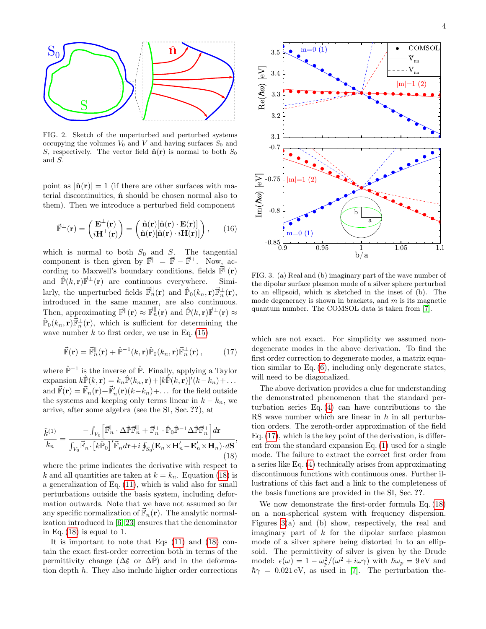

<span id="page-3-0"></span>FIG. 2. Sketch of the unperturbed and perturbed systems occupying the volumes  $V_0$  and  $V$  and having surfaces  $S_0$  and S, respectively. The vector field  $\hat{\mathbf{n}}(\mathbf{r})$  is normal to both  $S_0$ and S.

point as  $|\hat{\mathbf{n}}(\mathbf{r})| = 1$  (if there are other surfaces with material discontinuities,  $\hat{\mathbf{n}}$  should be chosen normal also to them). Then we introduce a perturbed field component

$$
\vec{\mathbb{F}}^{\perp}(\mathbf{r}) = \begin{pmatrix} \mathbf{E}^{\perp}(\mathbf{r}) \\ i \mathbf{H}^{\perp}(\mathbf{r}) \end{pmatrix} = \begin{pmatrix} \hat{\mathbf{n}}(\mathbf{r})[\hat{\mathbf{n}}(\mathbf{r}) \cdot \mathbf{E}(\mathbf{r})] \\ \hat{\mathbf{n}}(\mathbf{r})[\hat{\mathbf{n}}(\mathbf{r}) \cdot i \mathbf{H}(\mathbf{r})] \end{pmatrix}, \qquad (16)
$$

which is normal to both  $S_0$  and  $S$ . The tangential component is then given by  $\vec{F}^{\parallel} = \vec{F} - \vec{F}^{\perp}$ . Now, according to Maxwell's boundary conditions, fields  $\mathbb{F}^{\parallel}(\mathbf{r})$ and  $\hat{\mathbb{P}}(k, r)\vec{\mathbb{F}}^{\perp}(r)$  are continuous everywhere. Similarly, the unperturbed fields  $\vec{\mathbb{F}}_n^{\parallel}(\mathbf{r})$  and  $\hat{\mathbb{P}}_0(k_n, \mathbf{r}) \vec{\mathbb{F}}_n^{\perp}(\mathbf{r}),$ introduced in the same manner, are also continuous. Then, approximating  $\vec{F}^{\parallel}(\mathbf{r}) \approx \vec{F}_n^{\parallel}(\mathbf{r})$  and  $\hat{P}(k, \mathbf{r}) \vec{F}^{\perp}(\mathbf{r}) \approx$  $\hat{P}_0(k_n, r)\vec{F}_n^{\perp}(r)$ , which is sufficient for determining the wave number  $k$  to first order, we use in Eq. [\(15\)](#page-2-4)

<span id="page-3-2"></span>
$$
\vec{\mathbb{F}}(\mathbf{r}) = \vec{\mathbb{F}}_n^{\parallel}(\mathbf{r}) + \hat{\mathbb{P}}^{-1}(k, \mathbf{r}) \hat{\mathbb{P}}_0(k_n, \mathbf{r}) \vec{\mathbb{F}}_n^{\perp}(\mathbf{r}), \quad (17)
$$

where  $\hat{\mathbb{P}}^{-1}$  is the inverse of  $\hat{\mathbb{P}}$ . Finally, applying a Taylor  $\text{expansion}\;k\hat{\mathbb{P}}(k,\textbf{r})=k_n\hat{\mathbb{P}}(k_n,\textbf{r})\!+\![k\hat{\mathbb{P}}(k,\textbf{r})]^\prime(k-k_n)+\dots$ and  $\vec{F}(\mathbf{r}) = \vec{F}_n(\mathbf{r}) + \vec{F}'_n(\mathbf{r}) (k - k_n) + \dots$  for the field outside the systems and keeping only terms linear in  $k - k_n$ , we arrive, after some algebra (see the SI, Sec. ??), at

<span id="page-3-1"></span>
$$
\frac{\tilde{k}^{(1)}}{k_n} = \frac{-\int_{V_0} \left[ \vec{\mathbb{F}}_n^{\parallel} \cdot \Delta \hat{\mathbb{P}} \vec{\mathbb{F}}_n^{\parallel} + \vec{\mathbb{F}}_n^{\perp} \cdot \hat{\mathbb{P}}_0 \hat{\mathbb{P}}^{-1} \Delta \hat{\mathbb{P}} \vec{\mathbb{F}}_n^{\perp} \right] d\mathbf{r}}{\int_{V_0} \vec{\mathbb{F}}_n \cdot \left[ k \hat{\mathbb{P}}_0 \right]' \vec{\mathbb{F}}_n d\mathbf{r} + i \oint_{S_0} (\mathbf{E}_n \times \mathbf{H}_n' - \mathbf{E}_n' \times \mathbf{H}_n) \cdot d\mathbf{S}},\n\tag{18}
$$

where the prime indicates the derivative with respect to k and all quantities are taken at  $k = k_n$ . Equation [\(18\)](#page-3-1) is a generalization of Eq. [\(11\)](#page-2-1), which is valid also for small perturbations outside the basis system, including deformation outwards. Note that we have not assumed so far any specific normalization of  $\mathbb{F}_n(\mathbf{r})$ . The analytic normalization introduced in [\[6,](#page-4-5) [23\]](#page-4-22) ensures that the denominator in Eq.  $(18)$  is equal to 1.

It is important to note that Eqs [\(11\)](#page-2-1) and [\(18\)](#page-3-1) contain the exact first-order correction both in terms of the permittivity change ( $\Delta \hat{\epsilon}$  or  $\Delta \hat{\mathbb{P}}$ ) and in the deformation depth h. They also include higher order corrections



<span id="page-3-3"></span>FIG. 3. (a) Real and (b) imaginary part of the wave number of the dipolar surface plasmon mode of a silver sphere perturbed to an ellipsoid, which is sketched in the inset of (b). The mode degeneracy is shown in brackets, and  $m$  is its magnetic quantum number. The COMSOL data is taken from [\[7\]](#page-4-6).

which are not exact. For simplicity we assumed nondegenerate modes in the above derivation. To find the first order correction to degenerate modes, a matrix equation similar to Eq. [\(6\)](#page-1-7), including only degenerate states, will need to be diagonalized.

The above derivation provides a clue for understanding the demonstrated phenomenon that the standard perturbation series Eq. [\(4\)](#page-1-4) can have contributions to the RS wave number which are linear in h in all perturbation orders. The zeroth-order approximation of the field Eq. [\(17\)](#page-3-2), which is the key point of the derivation, is different from the standard expansion Eq. [\(1\)](#page-1-8) used for a single mode. The failure to extract the correct first order from a series like Eq. [\(4\)](#page-1-4) technically arises from approximating discontinuous functions with continuous ones. Further illustrations of this fact and a link to the completeness of the basis functions are provided in the SI, Sec. ??.

We now demonstrate the first-order formula Eq. [\(18\)](#page-3-1) on a non-spherical system with frequency dispersion. Figures [3\(](#page-3-3)a) and (b) show, respectively, the real and imaginary part of  $k$  for the dipolar surface plasmon mode of a silver sphere being distorted in to an ellipsoid. The permittivity of silver is given by the Drude model:  $\epsilon(\omega) = 1 - \omega_p^2/(\omega^2 + i\omega\gamma)$  with  $\hbar\omega_p = 9 \,\text{eV}$  and  $\hbar\gamma = 0.021 \,\text{eV}$ , as used in [\[7\]](#page-4-6). The perturbation the